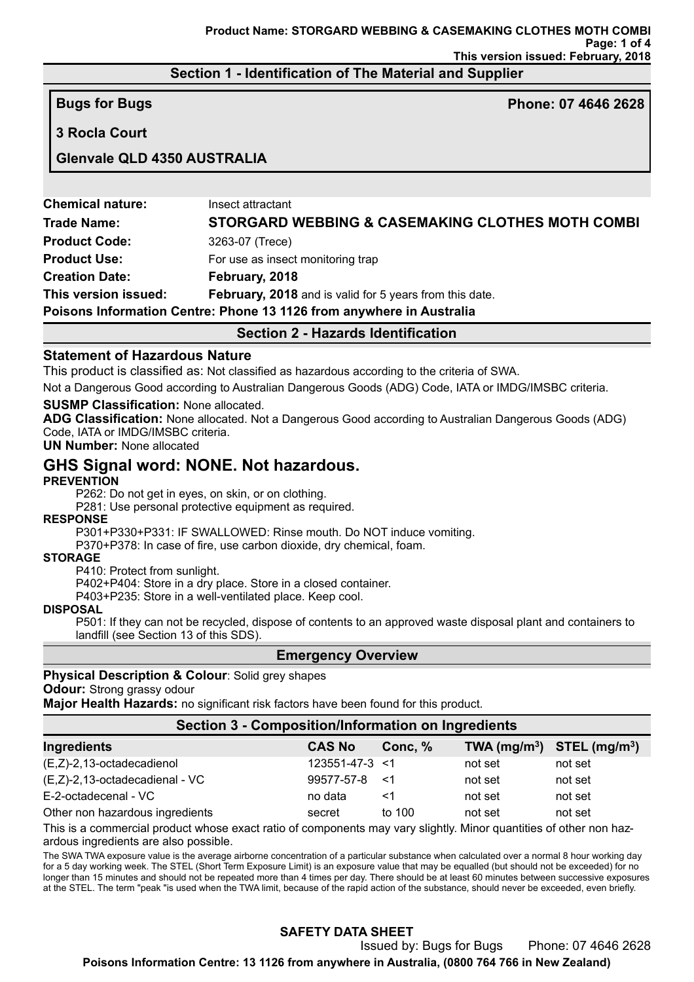## **Section 1 - Identification of The Material and Supplier**

**3 Rocla Court**

**Bugs for Bugs Phone: 07 4646 2628**

# **Glenvale QLD 4350 AUSTRALIA**

| <b>Section 2 - Hazards Identification</b>                            |                                                         |  |  |  |
|----------------------------------------------------------------------|---------------------------------------------------------|--|--|--|
| Poisons Information Centre: Phone 13 1126 from anywhere in Australia |                                                         |  |  |  |
| This version issued:                                                 | February, 2018 and is valid for 5 years from this date. |  |  |  |
| <b>Creation Date:</b>                                                | February, 2018                                          |  |  |  |
| <b>Product Use:</b>                                                  | For use as insect monitoring trap                       |  |  |  |
| <b>Product Code:</b>                                                 | 3263-07 (Trece)                                         |  |  |  |
| <b>Trade Name:</b>                                                   | STORGARD WEBBING & CASEMAKING CLOTHES MOTH COMBI        |  |  |  |
| <b>Chemical nature:</b>                                              | Insect attractant                                       |  |  |  |

### **Statement of Hazardous Nature**

This product is classified as: Not classified as hazardous according to the criteria of SWA.

Not a Dangerous Good according to Australian Dangerous Goods (ADG) Code, IATA or IMDG/IMSBC criteria.

#### **SUSMP Classification:** None allocated.

**ADG Classification:** None allocated. Not a Dangerous Good according to Australian Dangerous Goods (ADG) Code, IATA or IMDG/IMSBC criteria.

**UN Number:** None allocated

# **GHS Signal word: NONE. Not hazardous.**

#### **PREVENTION**

P262: Do not get in eyes, on skin, or on clothing.

P281: Use personal protective equipment as required.

#### **RESPONSE**

P301+P330+P331: IF SWALLOWED: Rinse mouth. Do NOT induce vomiting.

P370+P378: In case of fire, use carbon dioxide, dry chemical, foam.

#### **STORAGE**

P410: Protect from sunlight.

P402+P404: Store in a dry place. Store in a closed container.

P403+P235: Store in a well-ventilated place. Keep cool.

#### **DISPOSAL**

P501: If they can not be recycled, dispose of contents to an approved waste disposal plant and containers to landfill (see Section 13 of this SDS).

#### **Emergency Overview**

**Physical Description & Colour**: Solid grey shapes

## **Odour:** Strong grassy odour

**Major Health Hazards:** no significant risk factors have been found for this product.

| Section 3 - Composition/Information on Ingredients |                |           |                                |         |  |
|----------------------------------------------------|----------------|-----------|--------------------------------|---------|--|
| Ingredients                                        | <b>CAS No</b>  | Conc, $%$ | TWA $(mg/m^3)$ STEL $(mg/m^3)$ |         |  |
| (E,Z)-2,13-octadecadienol                          | 123551-47-3 <1 |           | not set                        | not set |  |
| (E,Z)-2,13-octadecadienal - VC                     | 99577-57-8     | — <1      | not set                        | not set |  |
| E-2-octadecenal - VC                               | no data        | <1        | not set                        | not set |  |
| Other non hazardous ingredients                    | secret         | to 100    | not set                        | not set |  |
|                                                    |                |           |                                |         |  |

This is a commercial product whose exact ratio of components may vary slightly. Minor quantities of other non hazardous ingredients are also possible.

The SWA TWA exposure value is the average airborne concentration of a particular substance when calculated over a normal 8 hour working day for a 5 day working week. The STEL (Short Term Exposure Limit) is an exposure value that may be equalled (but should not be exceeded) for no longer than 15 minutes and should not be repeated more than 4 times per day. There should be at least 60 minutes between successive exposures at the STEL. The term "peak "is used when the TWA limit, because of the rapid action of the substance, should never be exceeded, even briefly.

# **SAFETY DATA SHEET**

Issued by: Bugs for Bugs Phone: 07 4646 2628

**Poisons Information Centre: 13 1126 from anywhere in Australia, (0800 764 766 in New Zealand)**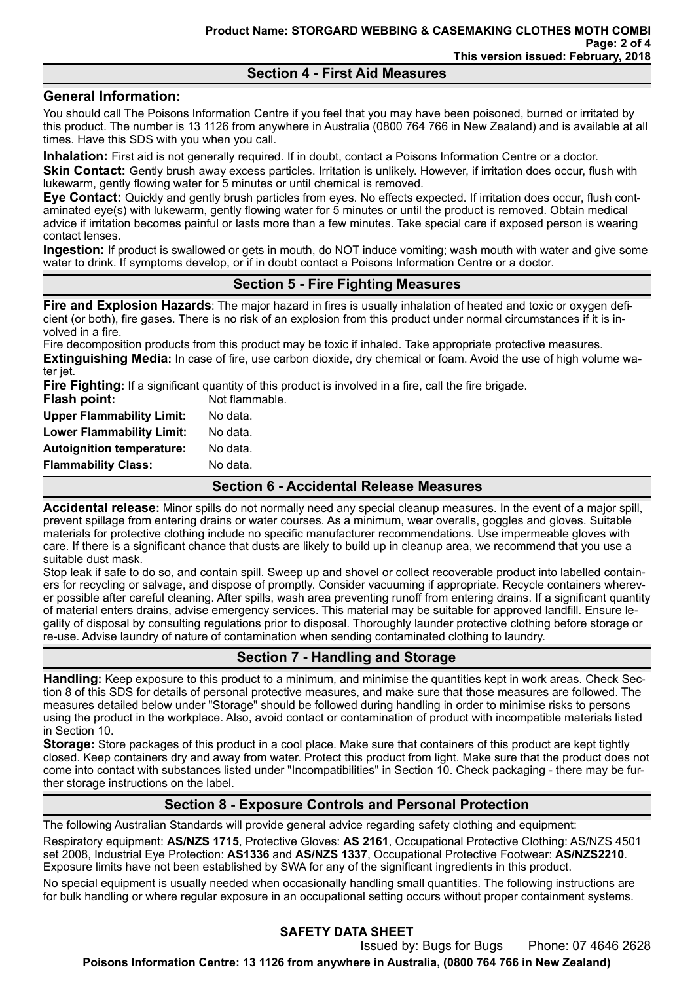### **Section 4 - First Aid Measures**

### **General Information:**

You should call The Poisons Information Centre if you feel that you may have been poisoned, burned or irritated by this product. The number is 13 1126 from anywhere in Australia (0800 764 766 in New Zealand) and is available at all times. Have this SDS with you when you call.

**Inhalation:** First aid is not generally required. If in doubt, contact a Poisons Information Centre or a doctor. **Skin Contact:** Gently brush away excess particles. Irritation is unlikely. However, if irritation does occur, flush with lukewarm, gently flowing water for 5 minutes or until chemical is removed.

**Eye Contact:** Quickly and gently brush particles from eyes. No effects expected. If irritation does occur, flush contaminated eye(s) with lukewarm, gently flowing water for 5 minutes or until the product is removed. Obtain medical advice if irritation becomes painful or lasts more than a few minutes. Take special care if exposed person is wearing contact lenses.

**Ingestion:** If product is swallowed or gets in mouth, do NOT induce vomiting; wash mouth with water and give some water to drink. If symptoms develop, or if in doubt contact a Poisons Information Centre or a doctor.

### **Section 5 - Fire Fighting Measures**

**Fire and Explosion Hazards**: The major hazard in fires is usually inhalation of heated and toxic or oxygen deficient (or both), fire gases. There is no risk of an explosion from this product under normal circumstances if it is involved in a fire.

Fire decomposition products from this product may be toxic if inhaled. Take appropriate protective measures. **Extinguishing Media:** In case of fire, use carbon dioxide, dry chemical or foam. Avoid the use of high volume water jet.

**Fire Fighting:** If a significant quantity of this product is involved in a fire, call the fire brigade.

| <b>Flash point:</b>              | Not flammable. |  |
|----------------------------------|----------------|--|
| <b>Upper Flammability Limit:</b> | No data.       |  |
| <b>Lower Flammability Limit:</b> | No data.       |  |
| <b>Autoignition temperature:</b> | No data.       |  |
| <b>Flammability Class:</b>       | No data.       |  |

#### **Section 6 - Accidental Release Measures**

**Accidental release:** Minor spills do not normally need any special cleanup measures. In the event of a major spill, prevent spillage from entering drains or water courses. As a minimum, wear overalls, goggles and gloves. Suitable materials for protective clothing include no specific manufacturer recommendations. Use impermeable gloves with care. If there is a significant chance that dusts are likely to build up in cleanup area, we recommend that you use a suitable dust mask.

Stop leak if safe to do so, and contain spill. Sweep up and shovel or collect recoverable product into labelled containers for recycling or salvage, and dispose of promptly. Consider vacuuming if appropriate. Recycle containers wherever possible after careful cleaning. After spills, wash area preventing runoff from entering drains. If a significant quantity of material enters drains, advise emergency services. This material may be suitable for approved landfill. Ensure legality of disposal by consulting regulations prior to disposal. Thoroughly launder protective clothing before storage or re-use. Advise laundry of nature of contamination when sending contaminated clothing to laundry.

# **Section 7 - Handling and Storage**

**Handling:** Keep exposure to this product to a minimum, and minimise the quantities kept in work areas. Check Section 8 of this SDS for details of personal protective measures, and make sure that those measures are followed. The measures detailed below under "Storage" should be followed during handling in order to minimise risks to persons using the product in the workplace. Also, avoid contact or contamination of product with incompatible materials listed in Section 10.

**Storage:** Store packages of this product in a cool place. Make sure that containers of this product are kept tightly closed. Keep containers dry and away from water. Protect this product from light. Make sure that the product does not come into contact with substances listed under "Incompatibilities" in Section 10. Check packaging - there may be further storage instructions on the label.

# **Section 8 - Exposure Controls and Personal Protection**

The following Australian Standards will provide general advice regarding safety clothing and equipment:

Respiratory equipment: **AS/NZS 1715**, Protective Gloves: **AS 2161**, Occupational Protective Clothing: AS/NZS 4501 set 2008, Industrial Eye Protection: **AS1336** and **AS/NZS 1337**, Occupational Protective Footwear: **AS/NZS2210**. Exposure limits have not been established by SWA for any of the significant ingredients in this product.

No special equipment is usually needed when occasionally handling small quantities. The following instructions are for bulk handling or where regular exposure in an occupational setting occurs without proper containment systems.

# **SAFETY DATA SHEET**

Issued by: Bugs for Bugs Phone: 07 4646 2628 **Poisons Information Centre: 13 1126 from anywhere in Australia, (0800 764 766 in New Zealand)**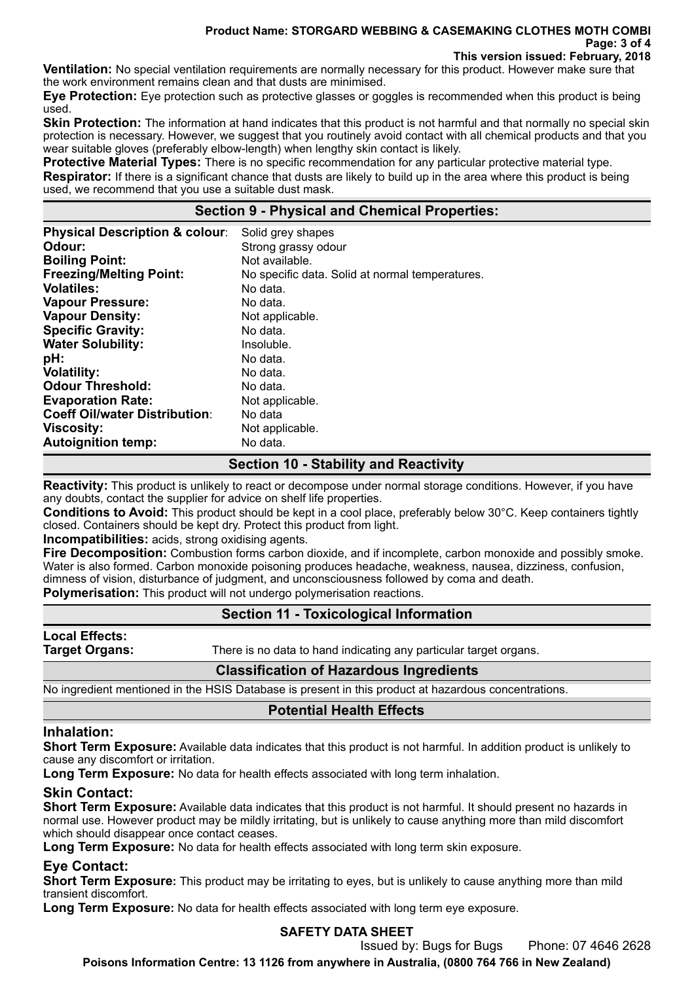#### **Product Name: STORGARD WEBBING & CASEMAKING CLOTHES MOTH COMBI Page: 3 of 4 This version issued: February, 2018**

**Ventilation:** No special ventilation requirements are normally necessary for this product. However make sure that the work environment remains clean and that dusts are minimised.

**Eye Protection:** Eye protection such as protective glasses or goggles is recommended when this product is being used.

**Skin Protection:** The information at hand indicates that this product is not harmful and that normally no special skin protection is necessary. However, we suggest that you routinely avoid contact with all chemical products and that you wear suitable gloves (preferably elbow-length) when lengthy skin contact is likely.

**Protective Material Types:** There is no specific recommendation for any particular protective material type. **Respirator:** If there is a significant chance that dusts are likely to build up in the area where this product is being used, we recommend that you use a suitable dust mask.

## **Section 9 - Physical and Chemical Properties:**

| <b>Physical Description &amp; colour:</b> | Solid grey shapes                               |
|-------------------------------------------|-------------------------------------------------|
| Odour:                                    | Strong grassy odour                             |
| <b>Boiling Point:</b>                     | Not available.                                  |
| <b>Freezing/Melting Point:</b>            | No specific data. Solid at normal temperatures. |
| <b>Volatiles:</b>                         | No data.                                        |
| <b>Vapour Pressure:</b>                   | No data.                                        |
| <b>Vapour Density:</b>                    | Not applicable.                                 |
| <b>Specific Gravity:</b>                  | No data.                                        |
| <b>Water Solubility:</b>                  | Insoluble.                                      |
| pH:                                       | No data.                                        |
| <b>Volatility:</b>                        | No data.                                        |
| <b>Odour Threshold:</b>                   | No data.                                        |
| <b>Evaporation Rate:</b>                  | Not applicable.                                 |
| <b>Coeff Oil/water Distribution:</b>      | No data                                         |
| <b>Viscosity:</b>                         | Not applicable.                                 |
| <b>Autoignition temp:</b>                 | No data.                                        |

## **Section 10 - Stability and Reactivity**

**Reactivity:** This product is unlikely to react or decompose under normal storage conditions. However, if you have any doubts, contact the supplier for advice on shelf life properties.

**Conditions to Avoid:** This product should be kept in a cool place, preferably below 30°C. Keep containers tightly closed. Containers should be kept dry. Protect this product from light.

**Incompatibilities:** acids, strong oxidising agents.

**Fire Decomposition:** Combustion forms carbon dioxide, and if incomplete, carbon monoxide and possibly smoke. Water is also formed. Carbon monoxide poisoning produces headache, weakness, nausea, dizziness, confusion, dimness of vision, disturbance of judgment, and unconsciousness followed by coma and death.

**Polymerisation:** This product will not undergo polymerisation reactions.

# **Section 11 - Toxicological Information**

**Local Effects:** 

**Target Organs:** There is no data to hand indicating any particular target organs.

### **Classification of Hazardous Ingredients**

No ingredient mentioned in the HSIS Database is present in this product at hazardous concentrations.

# **Potential Health Effects**

#### **Inhalation:**

**Short Term Exposure:** Available data indicates that this product is not harmful. In addition product is unlikely to cause any discomfort or irritation.

Long Term Exposure: No data for health effects associated with long term inhalation.

### **Skin Contact:**

**Short Term Exposure:** Available data indicates that this product is not harmful. It should present no hazards in normal use. However product may be mildly irritating, but is unlikely to cause anything more than mild discomfort which should disappear once contact ceases.

**Long Term Exposure:** No data for health effects associated with long term skin exposure.

# **Eye Contact:**

**Short Term Exposure:** This product may be irritating to eyes, but is unlikely to cause anything more than mild transient discomfort.

**Long Term Exposure:** No data for health effects associated with long term eye exposure.

# **SAFETY DATA SHEET**

Issued by: Bugs for Bugs Phone: 07 4646 2628

**Poisons Information Centre: 13 1126 from anywhere in Australia, (0800 764 766 in New Zealand)**